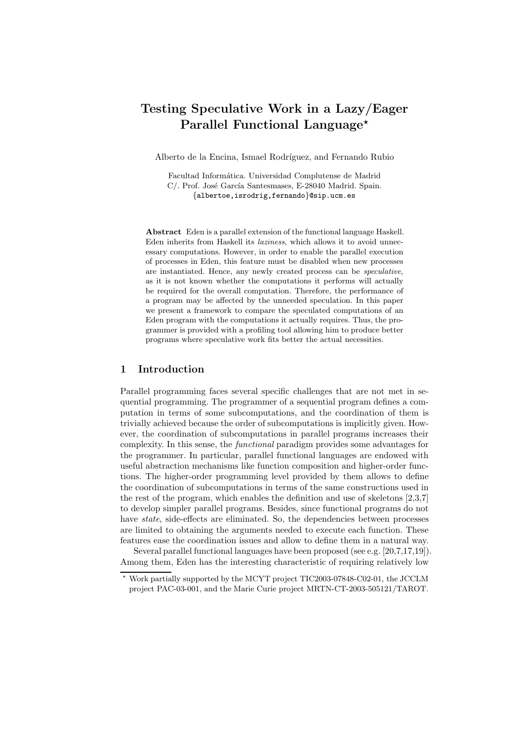# Testing Speculative Work in a Lazy/Eager Parallel Functional Language<sup>\*</sup>

Alberto de la Encina, Ismael Rodríguez, and Fernando Rubio

Facultad Informática. Universidad Complutense de Madrid C/. Prof. José García Santesmases, E-28040 Madrid. Spain. {albertoe,isrodrig,fernando}@sip.ucm.es

Abstract Eden is a parallel extension of the functional language Haskell. Eden inherits from Haskell its laziness, which allows it to avoid unnecessary computations. However, in order to enable the parallel execution of processes in Eden, this feature must be disabled when new processes are instantiated. Hence, any newly created process can be speculative, as it is not known whether the computations it performs will actually be required for the overall computation. Therefore, the performance of a program may be affected by the unneeded speculation. In this paper we present a framework to compare the speculated computations of an Eden program with the computations it actually requires. Thus, the programmer is provided with a profiling tool allowing him to produce better programs where speculative work fits better the actual necessities.

# 1 Introduction

Parallel programming faces several specific challenges that are not met in sequential programming. The programmer of a sequential program defines a computation in terms of some subcomputations, and the coordination of them is trivially achieved because the order of subcomputations is implicitly given. However, the coordination of subcomputations in parallel programs increases their complexity. In this sense, the functional paradigm provides some advantages for the programmer. In particular, parallel functional languages are endowed with useful abstraction mechanisms like function composition and higher-order functions. The higher-order programming level provided by them allows to define the coordination of subcomputations in terms of the same constructions used in the rest of the program, which enables the definition and use of skeletons [2,3,7] to develop simpler parallel programs. Besides, since functional programs do not have *state*, side-effects are eliminated. So, the dependencies between processes are limited to obtaining the arguments needed to execute each function. These features ease the coordination issues and allow to define them in a natural way.

Several parallel functional languages have been proposed (see e.g. [20,7,17,19]). Among them, Eden has the interesting characteristic of requiring relatively low

<sup>?</sup> Work partially supported by the MCYT project TIC2003-07848-C02-01, the JCCLM project PAC-03-001, and the Marie Curie project MRTN-CT-2003-505121/TAROT.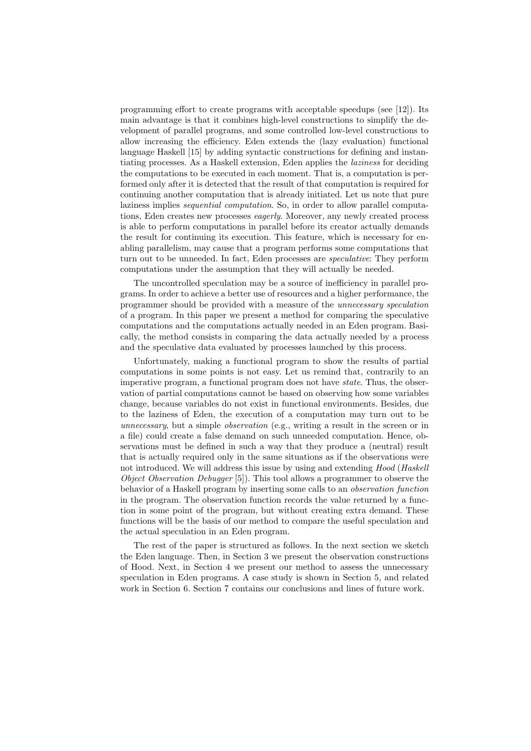programming effort to create programs with acceptable speedups (see [12]). Its main advantage is that it combines high-level constructions to simplify the development of parallel programs, and some controlled low-level constructions to allow increasing the efficiency. Eden extends the (lazy evaluation) functional language Haskell [15] by adding syntactic constructions for defining and instantiating processes. As a Haskell extension, Eden applies the laziness for deciding the computations to be executed in each moment. That is, a computation is performed only after it is detected that the result of that computation is required for continuing another computation that is already initiated. Let us note that pure laziness implies sequential computation. So, in order to allow parallel computations, Eden creates new processes eagerly. Moreover, any newly created process is able to perform computations in parallel before its creator actually demands the result for continuing its execution. This feature, which is necessary for enabling parallelism, may cause that a program performs some computations that turn out to be unneeded. In fact, Eden processes are speculative: They perform computations under the assumption that they will actually be needed.

The uncontrolled speculation may be a source of inefficiency in parallel programs. In order to achieve a better use of resources and a higher performance, the programmer should be provided with a measure of the unnecessary speculation of a program. In this paper we present a method for comparing the speculative computations and the computations actually needed in an Eden program. Basically, the method consists in comparing the data actually needed by a process and the speculative data evaluated by processes launched by this process.

Unfortunately, making a functional program to show the results of partial computations in some points is not easy. Let us remind that, contrarily to an imperative program, a functional program does not have state. Thus, the observation of partial computations cannot be based on observing how some variables change, because variables do not exist in functional environments. Besides, due to the laziness of Eden, the execution of a computation may turn out to be unnecessary, but a simple *observation* (e.g., writing a result in the screen or in a file) could create a false demand on such unneeded computation. Hence, observations must be defined in such a way that they produce a (neutral) result that is actually required only in the same situations as if the observations were not introduced. We will address this issue by using and extending Hood (Haskell Object Observation Debugger [5]). This tool allows a programmer to observe the behavior of a Haskell program by inserting some calls to an observation function in the program. The observation function records the value returned by a function in some point of the program, but without creating extra demand. These functions will be the basis of our method to compare the useful speculation and the actual speculation in an Eden program.

The rest of the paper is structured as follows. In the next section we sketch the Eden language. Then, in Section 3 we present the observation constructions of Hood. Next, in Section 4 we present our method to assess the unnecessary speculation in Eden programs. A case study is shown in Section 5, and related work in Section 6. Section 7 contains our conclusions and lines of future work.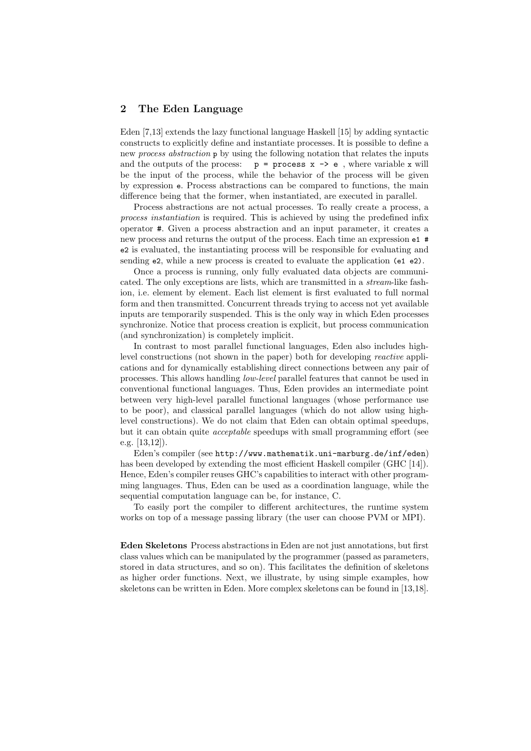## 2 The Eden Language

Eden [7,13] extends the lazy functional language Haskell [15] by adding syntactic constructs to explicitly define and instantiate processes. It is possible to define a new *process abstraction*  $\mathbf{p}$  by using the following notation that relates the inputs and the outputs of the process:  $p =$  process  $x \rightarrow e$ , where variable x will be the input of the process, while the behavior of the process will be given by expression e. Process abstractions can be compared to functions, the main difference being that the former, when instantiated, are executed in parallel.

Process abstractions are not actual processes. To really create a process, a process instantiation is required. This is achieved by using the predefined infix operator #. Given a process abstraction and an input parameter, it creates a new process and returns the output of the process. Each time an expression e1 # e2 is evaluated, the instantiating process will be responsible for evaluating and sending e2, while a new process is created to evaluate the application (e1 e2).

Once a process is running, only fully evaluated data objects are communicated. The only exceptions are lists, which are transmitted in a stream-like fashion, i.e. element by element. Each list element is first evaluated to full normal form and then transmitted. Concurrent threads trying to access not yet available inputs are temporarily suspended. This is the only way in which Eden processes synchronize. Notice that process creation is explicit, but process communication (and synchronization) is completely implicit.

In contrast to most parallel functional languages, Eden also includes highlevel constructions (not shown in the paper) both for developing reactive applications and for dynamically establishing direct connections between any pair of processes. This allows handling low-level parallel features that cannot be used in conventional functional languages. Thus, Eden provides an intermediate point between very high-level parallel functional languages (whose performance use to be poor), and classical parallel languages (which do not allow using highlevel constructions). We do not claim that Eden can obtain optimal speedups, but it can obtain quite acceptable speedups with small programming effort (see e.g. [13,12]).

Eden's compiler (see http://www.mathematik.uni-marburg.de/inf/eden) has been developed by extending the most efficient Haskell compiler (GHC [14]). Hence, Eden's compiler reuses GHC's capabilities to interact with other programming languages. Thus, Eden can be used as a coordination language, while the sequential computation language can be, for instance, C.

To easily port the compiler to different architectures, the runtime system works on top of a message passing library (the user can choose PVM or MPI).

Eden Skeletons Process abstractions in Eden are not just annotations, but first class values which can be manipulated by the programmer (passed as parameters, stored in data structures, and so on). This facilitates the definition of skeletons as higher order functions. Next, we illustrate, by using simple examples, how skeletons can be written in Eden. More complex skeletons can be found in [13,18].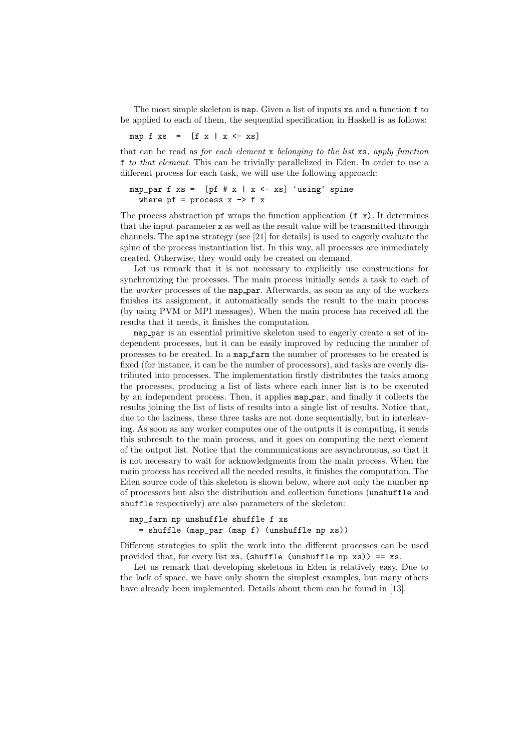The most simple skeleton is map. Given a list of inputs xs and a function f to be applied to each of them, the sequential specification in Haskell is as follows:

map f  $xs = [f x | x < - xs]$ 

that can be read as for each element  $x$  belonging to the list  $xs$ , apply function f to that element. This can be trivially parallelized in Eden. In order to use a different process for each task, we will use the following approach:

```
map_par f xs = [pf # x | x < - xs] 'using' spine
  where pf = process x \rightarrow f x
```
The process abstraction  $pf$  wraps the function application  $(f \times)$ . It determines that the input parameter x as well as the result value will be transmitted through channels. The spine strategy (see [21] for details) is used to eagerly evaluate the spine of the process instantiation list. In this way, all processes are immediately created. Otherwise, they would only be created on demand.

Let us remark that it is not necessary to explicitly use constructions for synchronizing the processes. The main process initially sends a task to each of the *worker* processes of the map par. Afterwards, as soon as any of the workers finishes its assignment, it automatically sends the result to the main process (by using PVM or MPI messages). When the main process has received all the results that it needs, it finishes the computation.

map par is an essential primitive skeleton used to eagerly create a set of independent processes, but it can be easily improved by reducing the number of processes to be created. In a map farm the number of processes to be created is fixed (for instance, it can be the number of processors), and tasks are evenly distributed into processes. The implementation firstly distributes the tasks among the processes, producing a list of lists where each inner list is to be executed by an independent process. Then, it applies map par, and finally it collects the results joining the list of lists of results into a single list of results. Notice that, due to the laziness, these three tasks are not done sequentially, but in interleaving. As soon as any worker computes one of the outputs it is computing, it sends this subresult to the main process, and it goes on computing the next element of the output list. Notice that the communications are asynchronous, so that it is not necessary to wait for acknowledgments from the main process. When the main process has received all the needed results, it finishes the computation. The Eden source code of this skeleton is shown below, where not only the number np of processors but also the distribution and collection functions (unshuffle and shuffle respectively) are also parameters of the skeleton:

```
map_farm np unshuffle shuffle f xs
  = shuffle (map_par (map f) (unshuffle np xs))
```
Different strategies to split the work into the different processes can be used provided that, for every list  $xs$ , (shuffle (unshuffle np  $xs$ )) ==  $xs$ .

Let us remark that developing skeletons in Eden is relatively easy. Due to the lack of space, we have only shown the simplest examples, but many others have already been implemented. Details about them can be found in [13].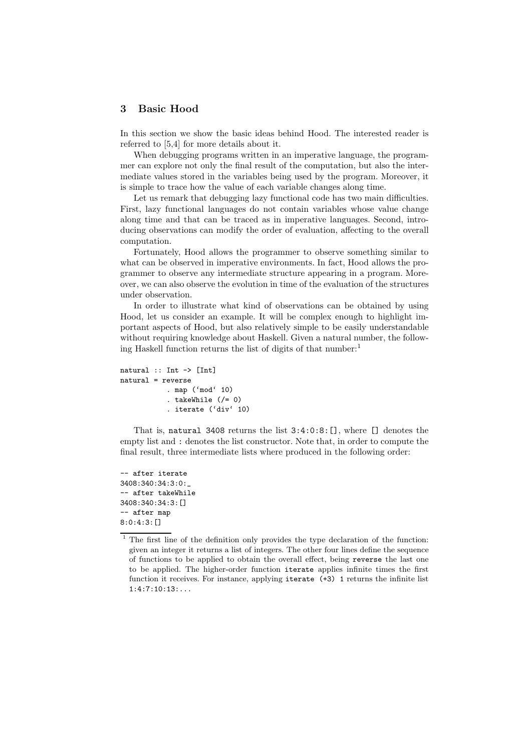# 3 Basic Hood

In this section we show the basic ideas behind Hood. The interested reader is referred to [5,4] for more details about it.

When debugging programs written in an imperative language, the programmer can explore not only the final result of the computation, but also the intermediate values stored in the variables being used by the program. Moreover, it is simple to trace how the value of each variable changes along time.

Let us remark that debugging lazy functional code has two main difficulties. First, lazy functional languages do not contain variables whose value change along time and that can be traced as in imperative languages. Second, introducing observations can modify the order of evaluation, affecting to the overall computation.

Fortunately, Hood allows the programmer to observe something similar to what can be observed in imperative environments. In fact, Hood allows the programmer to observe any intermediate structure appearing in a program. Moreover, we can also observe the evolution in time of the evaluation of the structures under observation.

In order to illustrate what kind of observations can be obtained by using Hood, let us consider an example. It will be complex enough to highlight important aspects of Hood, but also relatively simple to be easily understandable without requiring knowledge about Haskell. Given a natural number, the following Haskell function returns the list of digits of that number:<sup>1</sup>

```
natural :: Int -> [Int]
natural = reverse
           . map ('mod' 10)
           . takeWhile (/= 0)
           . iterate ('div' 10)
```
That is, natural 3408 returns the list 3:4:0:8:[], where [] denotes the empty list and : denotes the list constructor. Note that, in order to compute the final result, three intermediate lists where produced in the following order:

```
-- after iterate
3408:340:34:3:0:_
-- after takeWhile
3408:340:34:3:[]
-- after map
8:0:4:3:[]
```
 $1$  The first line of the definition only provides the type declaration of the function: given an integer it returns a list of integers. The other four lines define the sequence of functions to be applied to obtain the overall effect, being reverse the last one to be applied. The higher-order function iterate applies infinite times the first function it receives. For instance, applying iterate (+3) 1 returns the infinite list 1:4:7:10:13:...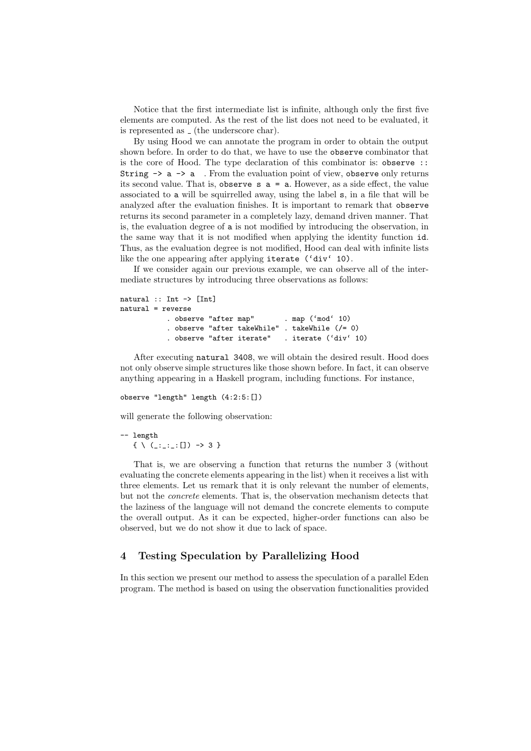Notice that the first intermediate list is infinite, although only the first five elements are computed. As the rest of the list does not need to be evaluated, it is represented as  $($  (the underscore char).

By using Hood we can annotate the program in order to obtain the output shown before. In order to do that, we have to use the observe combinator that is the core of Hood. The type declaration of this combinator is: observe :: String  $\rightarrow$  a  $\rightarrow$  a . From the evaluation point of view, observe only returns its second value. That is, observe  $s \ a = a$ . However, as a side effect, the value associated to a will be squirrelled away, using the label s, in a file that will be analyzed after the evaluation finishes. It is important to remark that observe returns its second parameter in a completely lazy, demand driven manner. That is, the evaluation degree of a is not modified by introducing the observation, in the same way that it is not modified when applying the identity function id. Thus, as the evaluation degree is not modified, Hood can deal with infinite lists like the one appearing after applying iterate ('div' 10).

If we consider again our previous example, we can observe all of the intermediate structures by introducing three observations as follows:

```
natural :: Int -> [Int]
natural = reverse
           . observe "after map" . map ('mod' 10)
           . observe "after takeWhile" . takeWhile (/= 0)
           . observe "after iterate" . iterate ('div' 10)
```
After executing natural 3408, we will obtain the desired result. Hood does not only observe simple structures like those shown before. In fact, it can observe anything appearing in a Haskell program, including functions. For instance,

observe "length" length (4:2:5:[])

will generate the following observation:

-- length  $\{ \ \setminus \ \left( \_ : \_ : \right] \cap \rightarrow 3 \}$ 

That is, we are observing a function that returns the number 3 (without evaluating the concrete elements appearing in the list) when it receives a list with three elements. Let us remark that it is only relevant the number of elements, but not the concrete elements. That is, the observation mechanism detects that the laziness of the language will not demand the concrete elements to compute the overall output. As it can be expected, higher-order functions can also be observed, but we do not show it due to lack of space.

## 4 Testing Speculation by Parallelizing Hood

In this section we present our method to assess the speculation of a parallel Eden program. The method is based on using the observation functionalities provided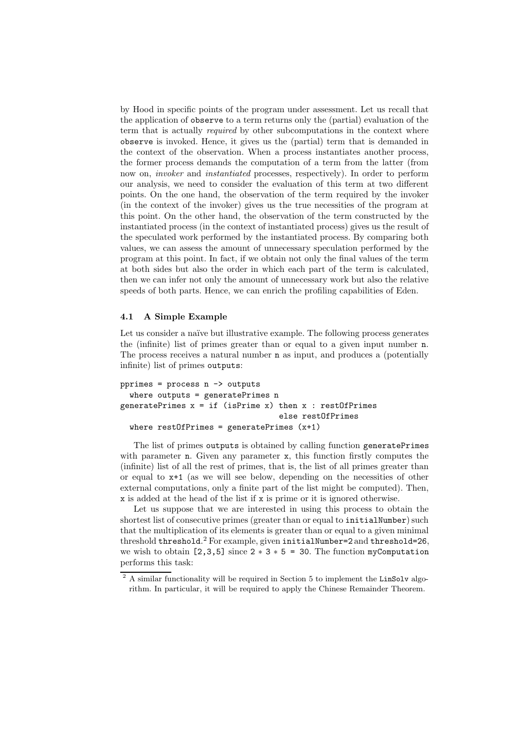by Hood in specific points of the program under assessment. Let us recall that the application of observe to a term returns only the (partial) evaluation of the term that is actually *required* by other subcomputations in the context where observe is invoked. Hence, it gives us the (partial) term that is demanded in the context of the observation. When a process instantiates another process, the former process demands the computation of a term from the latter (from now on, invoker and instantiated processes, respectively). In order to perform our analysis, we need to consider the evaluation of this term at two different points. On the one hand, the observation of the term required by the invoker (in the context of the invoker) gives us the true necessities of the program at this point. On the other hand, the observation of the term constructed by the instantiated process (in the context of instantiated process) gives us the result of the speculated work performed by the instantiated process. By comparing both values, we can assess the amount of unnecessary speculation performed by the program at this point. In fact, if we obtain not only the final values of the term at both sides but also the order in which each part of the term is calculated, then we can infer not only the amount of unnecessary work but also the relative speeds of both parts. Hence, we can enrich the profiling capabilities of Eden.

#### 4.1 A Simple Example

Let us consider a naïve but illustrative example. The following process generates the (infinite) list of primes greater than or equal to a given input number n. The process receives a natural number n as input, and produces a (potentially infinite) list of primes outputs:

```
pprimes = process n -> outputs
  where outputs = generatePrimes n
generatePrimes x = if (isPrime x) then x : restOfPrimeselse restOfPrimes
  where restOfPrimes = generatePrimes (x+1)
```
The list of primes outputs is obtained by calling function generatePrimes with parameter **n**. Given any parameter **x**, this function firstly computes the (infinite) list of all the rest of primes, that is, the list of all primes greater than or equal to  $x+1$  (as we will see below, depending on the necessities of other external computations, only a finite part of the list might be computed). Then, x is added at the head of the list if x is prime or it is ignored otherwise.

Let us suppose that we are interested in using this process to obtain the shortest list of consecutive primes (greater than or equal to initialNumber) such that the multiplication of its elements is greater than or equal to a given minimal threshold threshold. <sup>2</sup> For example, given initialNumber=2 and threshold=26, we wish to obtain  $[2,3,5]$  since  $2 * 3 * 5 = 30$ . The function myComputation performs this task:

 $2$  A similar functionality will be required in Section 5 to implement the LinSolv algorithm. In particular, it will be required to apply the Chinese Remainder Theorem.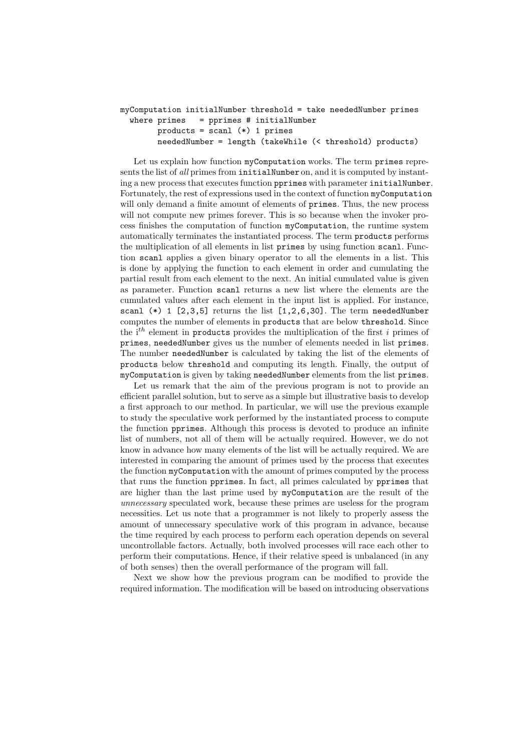```
myComputation initialNumber threshold = take neededNumber primes
  where primes = pprimes # initialNumberproducts = scan1 (*) 1 primes
        neededNumber = length (takeWhile (< threshold) products)
```
Let us explain how function myComputation works. The term primes represents the list of all primes from initialNumber on, and it is computed by instanting a new process that executes function pprimes with parameter initialNumber. Fortunately, the rest of expressions used in the context of function myComputation will only demand a finite amount of elements of primes. Thus, the new process will not compute new primes forever. This is so because when the invoker process finishes the computation of function myComputation, the runtime system automatically terminates the instantiated process. The term products performs the multiplication of all elements in list primes by using function scanl. Function scanl applies a given binary operator to all the elements in a list. This is done by applying the function to each element in order and cumulating the partial result from each element to the next. An initial cumulated value is given as parameter. Function scanl returns a new list where the elements are the cumulated values after each element in the input list is applied. For instance, scanl  $(*)$  1  $[2,3,5]$  returns the list  $[1,2,6,30]$ . The term neededNumber computes the number of elements in products that are below threshold. Since the i<sup>th</sup> element in products provides the multiplication of the first i primes of primes, neededNumber gives us the number of elements needed in list primes. The number neededNumber is calculated by taking the list of the elements of products below threshold and computing its length. Finally, the output of myComputation is given by taking neededNumber elements from the list primes.

Let us remark that the aim of the previous program is not to provide an efficient parallel solution, but to serve as a simple but illustrative basis to develop a first approach to our method. In particular, we will use the previous example to study the speculative work performed by the instantiated process to compute the function pprimes. Although this process is devoted to produce an infinite list of numbers, not all of them will be actually required. However, we do not know in advance how many elements of the list will be actually required. We are interested in comparing the amount of primes used by the process that executes the function myComputation with the amount of primes computed by the process that runs the function pprimes. In fact, all primes calculated by pprimes that are higher than the last prime used by myComputation are the result of the unnecessary speculated work, because these primes are useless for the program necessities. Let us note that a programmer is not likely to properly assess the amount of unnecessary speculative work of this program in advance, because the time required by each process to perform each operation depends on several uncontrollable factors. Actually, both involved processes will race each other to perform their computations. Hence, if their relative speed is unbalanced (in any of both senses) then the overall performance of the program will fall.

Next we show how the previous program can be modified to provide the required information. The modification will be based on introducing observations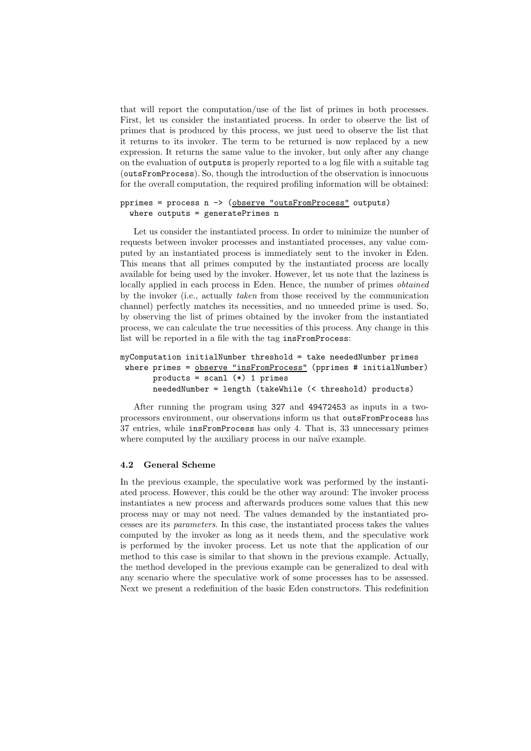that will report the computation/use of the list of primes in both processes. First, let us consider the instantiated process. In order to observe the list of primes that is produced by this process, we just need to observe the list that it returns to its invoker. The term to be returned is now replaced by a new expression. It returns the same value to the invoker, but only after any change on the evaluation of outputs is properly reported to a log file with a suitable tag (outsFromProcess). So, though the introduction of the observation is innocuous for the overall computation, the required profiling information will be obtained:

#### pprimes = process n -> (observe "outsFromProcess" outputs) where outputs =  $generatePrimes n$

Let us consider the instantiated process. In order to minimize the number of requests between invoker processes and instantiated processes, any value computed by an instantiated process is immediately sent to the invoker in Eden. This means that all primes computed by the instantiated process are locally available for being used by the invoker. However, let us note that the laziness is locally applied in each process in Eden. Hence, the number of primes *obtained* by the invoker (i.e., actually taken from those received by the communication channel) perfectly matches its necessities, and no unneeded prime is used. So, by observing the list of primes obtained by the invoker from the instantiated process, we can calculate the true necessities of this process. Any change in this list will be reported in a file with the tag insFromProcess:

```
myComputation initialNumber threshold = take neededNumber primes
where primes = observe "insFromProcess" (pprimes # initialNumber)
      products = scan1 (*) 1 primes
      neededNumber = length (takeWhile (< threshold) products)
```
After running the program using 327 and 49472453 as inputs in a twoprocessors environment, our observations inform us that outsFromProcess has 37 entries, while insFromProcess has only 4. That is, 33 unnecessary primes where computed by the auxiliary process in our naïve example.

#### 4.2 General Scheme

In the previous example, the speculative work was performed by the instantiated process. However, this could be the other way around: The invoker process instantiates a new process and afterwards produces some values that this new process may or may not need. The values demanded by the instantiated processes are its parameters. In this case, the instantiated process takes the values computed by the invoker as long as it needs them, and the speculative work is performed by the invoker process. Let us note that the application of our method to this case is similar to that shown in the previous example. Actually, the method developed in the previous example can be generalized to deal with any scenario where the speculative work of some processes has to be assessed. Next we present a redefinition of the basic Eden constructors. This redefinition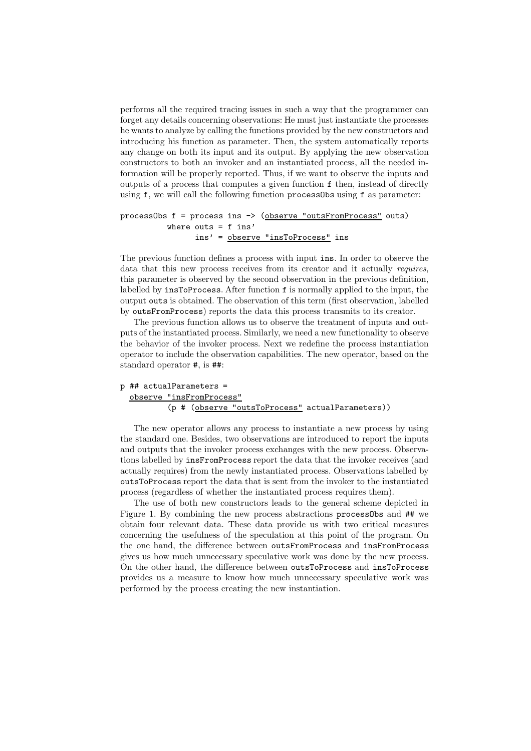performs all the required tracing issues in such a way that the programmer can forget any details concerning observations: He must just instantiate the processes he wants to analyze by calling the functions provided by the new constructors and introducing his function as parameter. Then, the system automatically reports any change on both its input and its output. By applying the new observation constructors to both an invoker and an instantiated process, all the needed information will be properly reported. Thus, if we want to observe the inputs and outputs of a process that computes a given function f then, instead of directly using f, we will call the following function processObs using f as parameter:

```
processObs f = process ins -> (observe "outsFromProcess" outs)
          where outs = f ins'
                ins' = observe "insToProcess" ins
```
The previous function defines a process with input ins. In order to observe the data that this new process receives from its creator and it actually *requires*, this parameter is observed by the second observation in the previous definition, labelled by insToProcess. After function f is normally applied to the input, the output outs is obtained. The observation of this term (first observation, labelled by outsFromProcess) reports the data this process transmits to its creator.

The previous function allows us to observe the treatment of inputs and outputs of the instantiated process. Similarly, we need a new functionality to observe the behavior of the invoker process. Next we redefine the process instantiation operator to include the observation capabilities. The new operator, based on the standard operator #, is ##:

```
p ## actualParameters =
  observe "insFromProcess"
          (p # (observe "outsToProcess" actualParameters))
```
The new operator allows any process to instantiate a new process by using the standard one. Besides, two observations are introduced to report the inputs and outputs that the invoker process exchanges with the new process. Observations labelled by insFromProcess report the data that the invoker receives (and actually requires) from the newly instantiated process. Observations labelled by outsToProcess report the data that is sent from the invoker to the instantiated process (regardless of whether the instantiated process requires them).

The use of both new constructors leads to the general scheme depicted in Figure 1. By combining the new process abstractions processObs and ## we obtain four relevant data. These data provide us with two critical measures concerning the usefulness of the speculation at this point of the program. On the one hand, the difference between outsFromProcess and insFromProcess gives us how much unnecessary speculative work was done by the new process. On the other hand, the difference between outsToProcess and insToProcess provides us a measure to know how much unnecessary speculative work was performed by the process creating the new instantiation.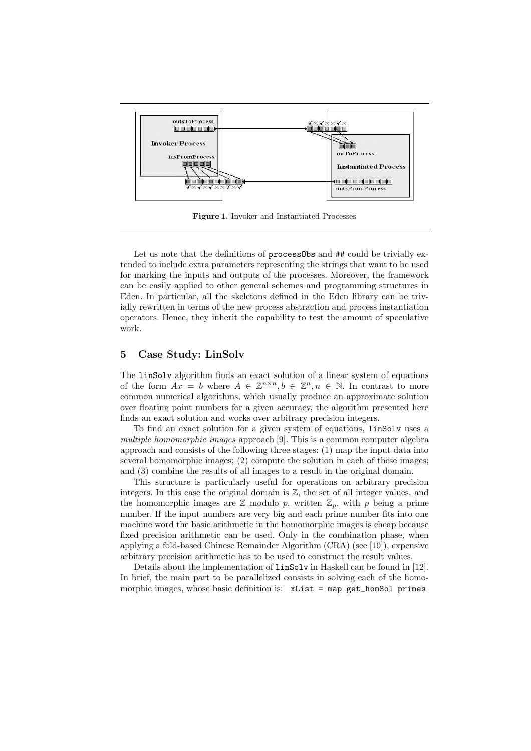

Figure 1. Invoker and Instantiated Processes

Let us note that the definitions of processObs and ## could be trivially extended to include extra parameters representing the strings that want to be used for marking the inputs and outputs of the processes. Moreover, the framework can be easily applied to other general schemes and programming structures in Eden. In particular, all the skeletons defined in the Eden library can be trivially rewritten in terms of the new process abstraction and process instantiation operators. Hence, they inherit the capability to test the amount of speculative work.

## 5 Case Study: LinSolv

The linSolv algorithm finds an exact solution of a linear system of equations of the form  $Ax = b$  where  $A \in \mathbb{Z}^{n \times n}, b \in \mathbb{Z}^{n}, n \in \mathbb{N}$ . In contrast to more common numerical algorithms, which usually produce an approximate solution over floating point numbers for a given accuracy, the algorithm presented here finds an exact solution and works over arbitrary precision integers.

To find an exact solution for a given system of equations, linSolv uses a multiple homomorphic images approach [9]. This is a common computer algebra approach and consists of the following three stages: (1) map the input data into several homomorphic images; (2) compute the solution in each of these images; and (3) combine the results of all images to a result in the original domain.

This structure is particularly useful for operations on arbitrary precision integers. In this case the original domain is  $\mathbb{Z}$ , the set of all integer values, and the homomorphic images are  $\mathbb Z$  modulo p, written  $\mathbb Z_p$ , with p being a prime number. If the input numbers are very big and each prime number fits into one machine word the basic arithmetic in the homomorphic images is cheap because fixed precision arithmetic can be used. Only in the combination phase, when applying a fold-based Chinese Remainder Algorithm (CRA) (see [10]), expensive arbitrary precision arithmetic has to be used to construct the result values.

Details about the implementation of linSolv in Haskell can be found in [12]. In brief, the main part to be parallelized consists in solving each of the homomorphic images, whose basic definition is:  $xList = map get_homSol\,primes$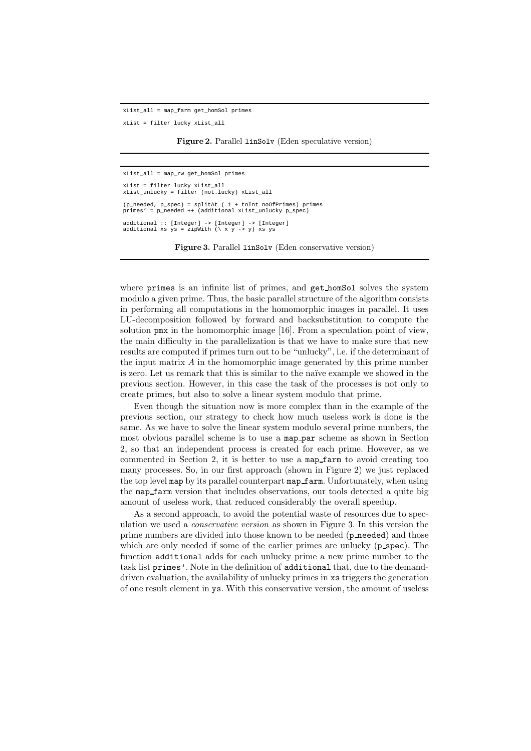Figure 2. Parallel linSolv (Eden speculative version)

xList\_all = map\_rw get\_homSol primes xList = filter lucky xList\_all xList\_unlucky = filter (not.lucky) xList\_all (p\_needed, p\_spec) = splitAt ( 1 + toInt noOfPrimes) primes primes' = p\_needed ++ (additional xList\_unlucky p\_spec) additional :: [Integer] -> [Integer] -> [Integer] additional xs  $ys = zipWith (\{ x y \rightarrow y) xs$  ys

Figure 3. Parallel linSolv (Eden conservative version)

where primes is an infinite list of primes, and get homSol solves the system modulo a given prime. Thus, the basic parallel structure of the algorithm consists in performing all computations in the homomorphic images in parallel. It uses LU-decomposition followed by forward and backsubstitution to compute the solution pmx in the homomorphic image [16]. From a speculation point of view, the main difficulty in the parallelization is that we have to make sure that new results are computed if primes turn out to be "unlucky", i.e. if the determinant of the input matrix  $\vec{A}$  in the homomorphic image generated by this prime number is zero. Let us remark that this is similar to the naïve example we showed in the previous section. However, in this case the task of the processes is not only to create primes, but also to solve a linear system modulo that prime.

Even though the situation now is more complex than in the example of the previous section, our strategy to check how much useless work is done is the same. As we have to solve the linear system modulo several prime numbers, the most obvious parallel scheme is to use a map par scheme as shown in Section 2, so that an independent process is created for each prime. However, as we commented in Section 2, it is better to use a map farm to avoid creating too many processes. So, in our first approach (shown in Figure 2) we just replaced the top level map by its parallel counterpart map farm. Unfortunately, when using the map farm version that includes observations, our tools detected a quite big amount of useless work, that reduced considerably the overall speedup.

As a second approach, to avoid the potential waste of resources due to speculation we used a conservative version as shown in Figure 3. In this version the prime numbers are divided into those known to be needed (p needed) and those which are only needed if some of the earlier primes are unlucky  $(p \text{-spec})$ . The function additional adds for each unlucky prime a new prime number to the task list primes'. Note in the definition of additional that, due to the demanddriven evaluation, the availability of unlucky primes in xs triggers the generation of one result element in ys. With this conservative version, the amount of useless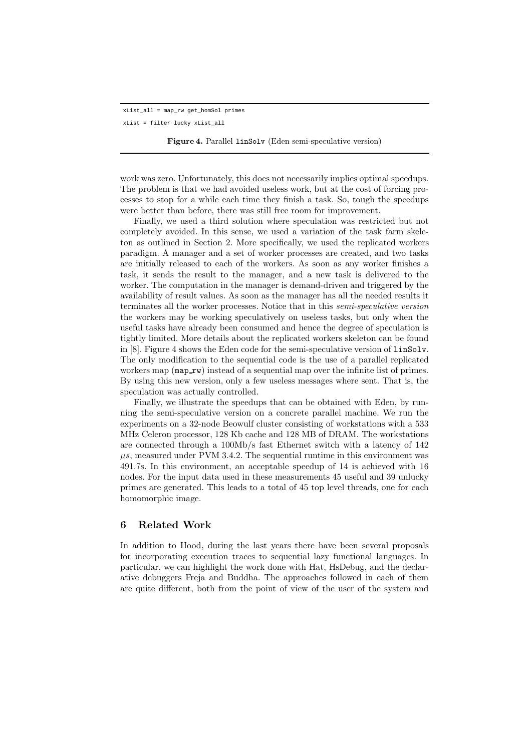xList = filter lucky xList\_all

Figure 4. Parallel linSolv (Eden semi-speculative version)

work was zero. Unfortunately, this does not necessarily implies optimal speedups. The problem is that we had avoided useless work, but at the cost of forcing processes to stop for a while each time they finish a task. So, tough the speedups were better than before, there was still free room for improvement.

Finally, we used a third solution where speculation was restricted but not completely avoided. In this sense, we used a variation of the task farm skeleton as outlined in Section 2. More specifically, we used the replicated workers paradigm. A manager and a set of worker processes are created, and two tasks are initially released to each of the workers. As soon as any worker finishes a task, it sends the result to the manager, and a new task is delivered to the worker. The computation in the manager is demand-driven and triggered by the availability of result values. As soon as the manager has all the needed results it terminates all the worker processes. Notice that in this semi-speculative version the workers may be working speculatively on useless tasks, but only when the useful tasks have already been consumed and hence the degree of speculation is tightly limited. More details about the replicated workers skeleton can be found in [8]. Figure 4 shows the Eden code for the semi-speculative version of linSolv. The only modification to the sequential code is the use of a parallel replicated workers map  $(\text{map } \text{rw})$  instead of a sequential map over the infinite list of primes. By using this new version, only a few useless messages where sent. That is, the speculation was actually controlled.

Finally, we illustrate the speedups that can be obtained with Eden, by running the semi-speculative version on a concrete parallel machine. We run the experiments on a 32-node Beowulf cluster consisting of workstations with a 533 MHz Celeron processor, 128 Kb cache and 128 MB of DRAM. The workstations are connected through a 100Mb/s fast Ethernet switch with a latency of 142  $\mu$ s, measured under PVM 3.4.2. The sequential runtime in this environment was 491.7s. In this environment, an acceptable speedup of 14 is achieved with 16 nodes. For the input data used in these measurements 45 useful and 39 unlucky primes are generated. This leads to a total of 45 top level threads, one for each homomorphic image.

#### 6 Related Work

In addition to Hood, during the last years there have been several proposals for incorporating execution traces to sequential lazy functional languages. In particular, we can highlight the work done with Hat, HsDebug, and the declarative debuggers Freja and Buddha. The approaches followed in each of them are quite different, both from the point of view of the user of the system and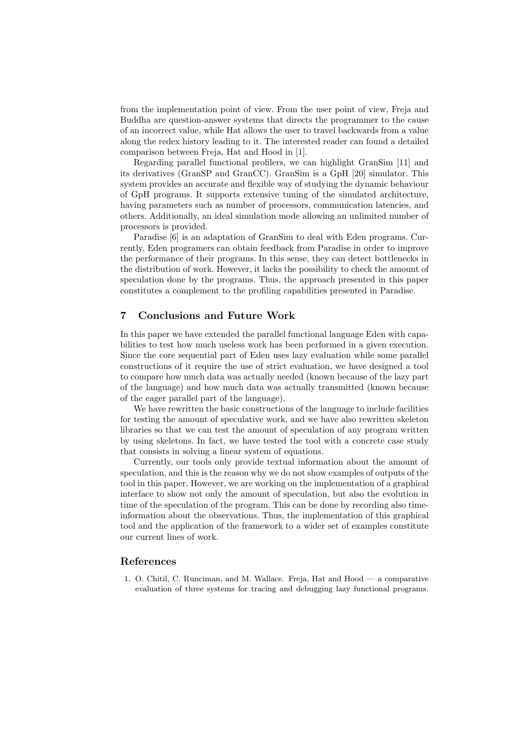from the implementation point of view. From the user point of view, Freja and Buddha are question-answer systems that directs the programmer to the cause of an incorrect value, while Hat allows the user to travel backwards from a value along the redex history leading to it. The interested reader can found a detailed comparison between Freja, Hat and Hood in [1].

Regarding parallel functional profilers, we can highlight GranSim [11] and its derivatives (GranSP and GranCC). GranSim is a GpH [20] simulator. This system provides an accurate and flexible way of studying the dynamic behaviour of GpH programs. It supports extensive tuning of the simulated architecture, having parameters such as number of processors, communication latencies, and others. Additionally, an ideal simulation mode allowing an unlimited number of processors is provided.

Paradise [6] is an adaptation of GranSim to deal with Eden programs. Currently, Eden programers can obtain feedback from Paradise in order to improve the performance of their programs. In this sense, they can detect bottlenecks in the distribution of work. However, it lacks the possibility to check the amount of speculation done by the programs. Thus, the approach presented in this paper constitutes a complement to the profiling capabilities presented in Paradise.

#### 7 Conclusions and Future Work

In this paper we have extended the parallel functional language Eden with capabilities to test how much useless work has been performed in a given execution. Since the core sequential part of Eden uses lazy evaluation while some parallel constructions of it require the use of strict evaluation, we have designed a tool to compare how much data was actually needed (known because of the lazy part of the language) and how much data was actually transmitted (known because of the eager parallel part of the language).

We have rewritten the basic constructions of the language to include facilities for testing the amount of speculative work, and we have also rewritten skeleton libraries so that we can test the amount of speculation of any program written by using skeletons. In fact, we have tested the tool with a concrete case study that consists in solving a linear system of equations.

Currently, our tools only provide textual information about the amount of speculation, and this is the reason why we do not show examples of outputs of the tool in this paper. However, we are working on the implementation of a graphical interface to show not only the amount of speculation, but also the evolution in time of the speculation of the program. This can be done by recording also timeinformation about the observations. Thus, the implementation of this graphical tool and the application of the framework to a wider set of examples constitute our current lines of work.

# References

1. O. Chitil, C. Runciman, and M. Wallace. Freja, Hat and Hood — a comparative evaluation of three systems for tracing and debugging lazy functional programs.